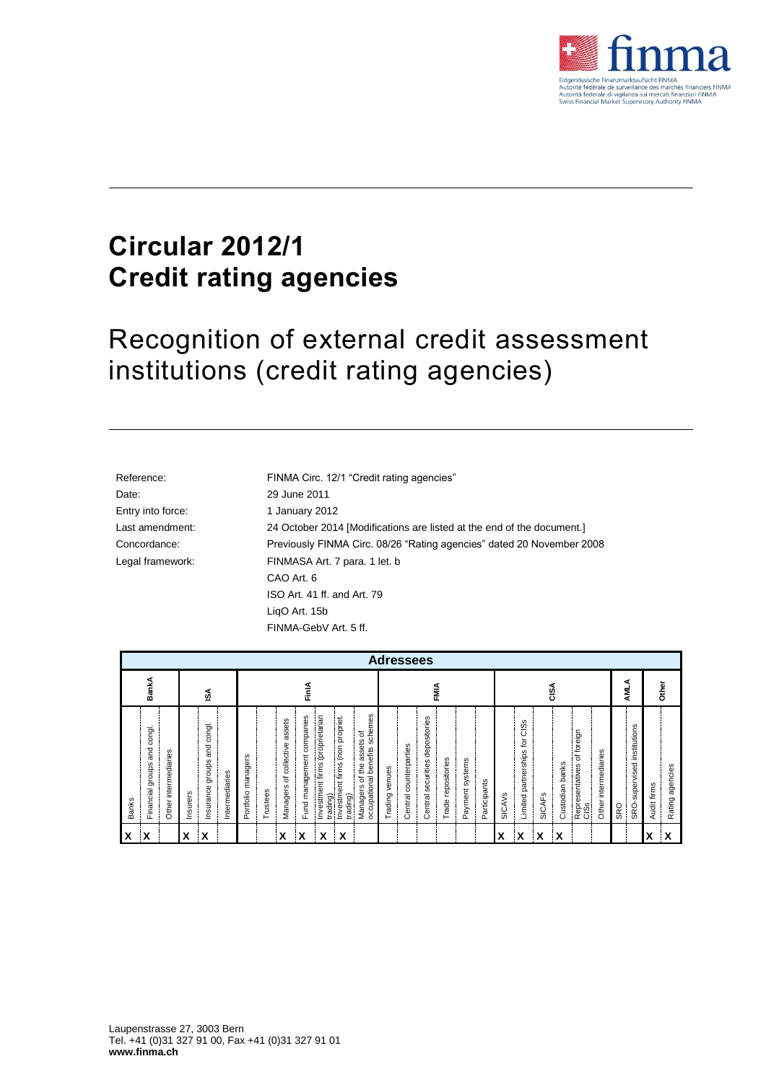

## **Circular 2012/1 Credit rating agencies**

Recognition of external credit assessment institutions (credit rating agencies)

| Reference:        | FINMA Circ. 12/1 "Credit rating agencies"                              |
|-------------------|------------------------------------------------------------------------|
| Date:             | 29 June 2011                                                           |
| Entry into force: | 1 January 2012                                                         |
| Last amendment:   | 24 October 2014 [Modifications are listed at the end of the document.] |
| Concordance:      | Previously FINMA Circ. 08/26 "Rating agencies" dated 20 November 2008  |
| Legal framework:  | FINMASA Art. 7 para. 1 let. b                                          |
|                   | CAO Art. 6                                                             |
|                   | ISO Art. 41 ff. and Art. 79                                            |
|                   | LigO Art. 15b                                                          |

FINMA-GebV Art. 5 ff.

|              | <b>Adressees</b>                     |                                          |          |                                      |                |                    |          |                                     |                                     |                                             |                                                |                                                                     |                   |                           |                                       |                    |                 |              |               |                                           |                          |                    |                                                 |                         |              |                                |             |                      |
|--------------|--------------------------------------|------------------------------------------|----------|--------------------------------------|----------------|--------------------|----------|-------------------------------------|-------------------------------------|---------------------------------------------|------------------------------------------------|---------------------------------------------------------------------|-------------------|---------------------------|---------------------------------------|--------------------|-----------------|--------------|---------------|-------------------------------------------|--------------------------|--------------------|-------------------------------------------------|-------------------------|--------------|--------------------------------|-------------|----------------------|
| BankA        |                                      |                                          | ธี       |                                      |                |                    | FinlA    |                                     |                                     |                                             |                                                | FMIA                                                                |                   |                           |                                       |                    |                 | CISA         |               |                                           |                          |                    | ⋖<br>Μ                                          |                         | <b>Other</b> |                                |             |                      |
| <b>Banks</b> | congl.<br>and<br>groups<br>Financial | S<br>intermediarie<br>Other <sub>i</sub> | Insurers | congl.<br>and<br>groups<br>Insurance | Intermediaries | Portfolio managers | Trustees | assets<br>collective<br>Managers of | companies<br>management<br>gun<br>щ | Investment firms (proprietarian<br>trading) | (non propriet.<br>Investment firms<br>trading) | schemes<br>assets of<br>occupational benefits<br>the<br>Managers of | venues<br>Trading | counterparties<br>Central | depositories<br>securities<br>Central | Trade repositories | Payment systems | Participants | <b>SICAVS</b> | ഗ<br>ës<br>tor<br>partnerships<br>Limited | <b>SICAF<sub>S</sub></b> | banks<br>Custodian | foreign<br>ัธ<br>Representatives<br><b>CISS</b> | intermediaries<br>Other | <b>SRO</b>   | institutions<br>SRO-supervised | Audit firms | agencies<br>Rating a |
| X            | X                                    |                                          | χ        | lΧ                                   |                |                    |          | χ                                   | χ                                   | χ                                           | X                                              |                                                                     |                   |                           |                                       |                    |                 |              | X             | X                                         | łΧ                       | X                  |                                                 |                         |              |                                | X           | X                    |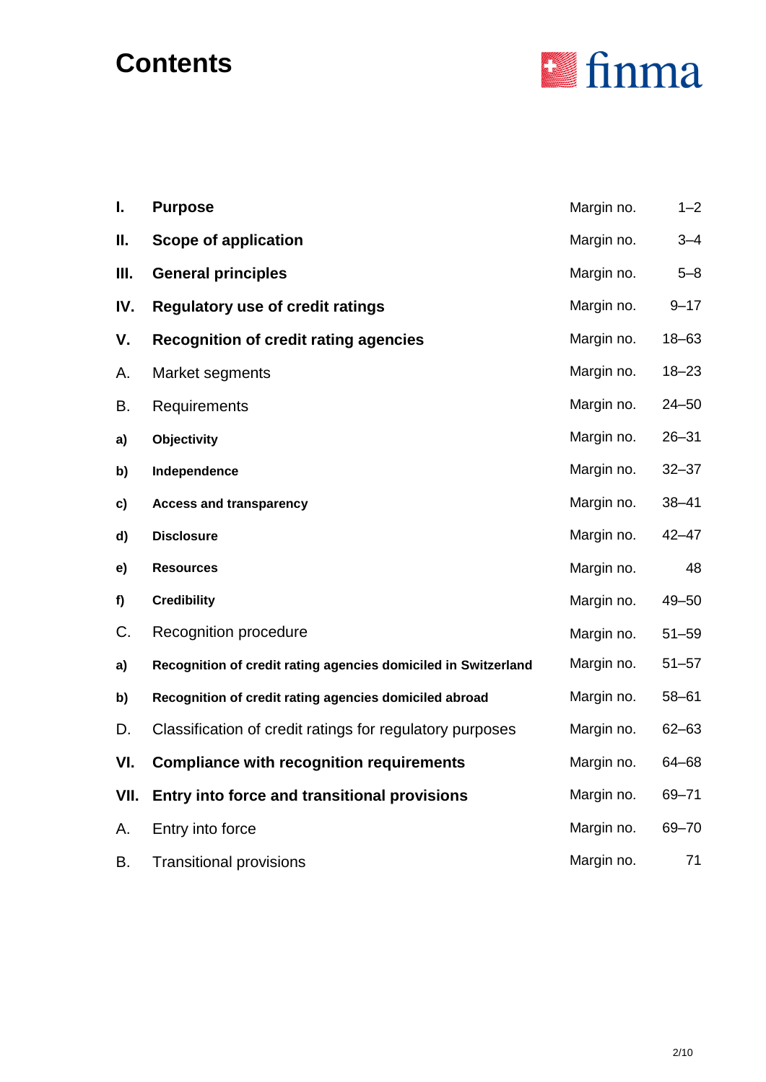# **Contents**



| I.   | <b>Purpose</b>                                                 | Margin no. | $1 - 2$   |
|------|----------------------------------------------------------------|------------|-----------|
| Ш.   | <b>Scope of application</b>                                    | Margin no. | $3 - 4$   |
| Ш.   | <b>General principles</b>                                      | Margin no. | $5 - 8$   |
| IV.  | <b>Regulatory use of credit ratings</b>                        | Margin no. | $9 - 17$  |
| ۷.   | <b>Recognition of credit rating agencies</b>                   | Margin no. | $18 - 63$ |
| A.   | Market segments                                                | Margin no. | $18 - 23$ |
| В.   | Requirements                                                   | Margin no. | $24 - 50$ |
| a)   | Objectivity                                                    | Margin no. | $26 - 31$ |
| b)   | Independence                                                   | Margin no. | $32 - 37$ |
| c)   | <b>Access and transparency</b>                                 | Margin no. | $38 - 41$ |
| d)   | <b>Disclosure</b>                                              | Margin no. | $42 - 47$ |
| e)   | <b>Resources</b>                                               | Margin no. | 48        |
| f)   | <b>Credibility</b>                                             | Margin no. | $49 - 50$ |
| C.   | Recognition procedure                                          | Margin no. | $51 - 59$ |
| a)   | Recognition of credit rating agencies domiciled in Switzerland | Margin no. | $51 - 57$ |
| b)   | Recognition of credit rating agencies domiciled abroad         | Margin no. | $58 - 61$ |
| D.   | Classification of credit ratings for regulatory purposes       | Margin no. | $62 - 63$ |
| VI.  | <b>Compliance with recognition requirements</b>                | Margin no. | 64-68     |
| VII. | Entry into force and transitional provisions                   | Margin no. | $69 - 71$ |
| Α.   | Entry into force                                               | Margin no. | 69-70     |
| В.   | <b>Transitional provisions</b>                                 | Margin no. | 71        |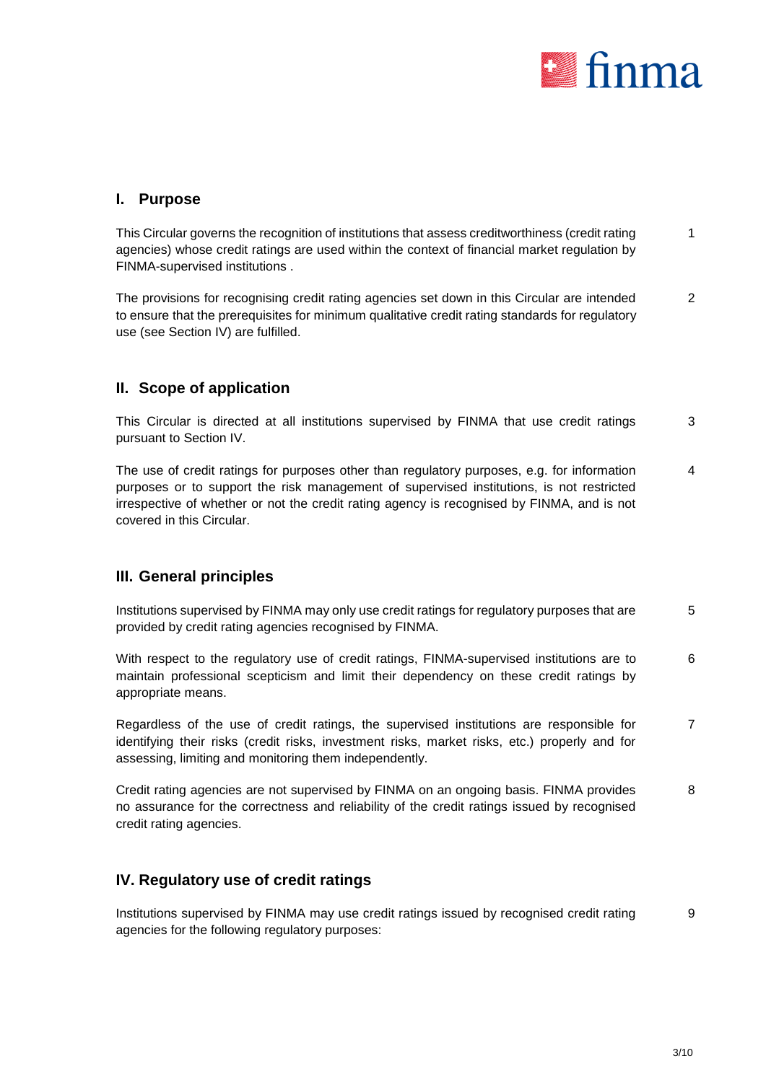

## **I. Purpose**

This Circular governs the recognition of institutions that assess creditworthiness (credit rating agencies) whose credit ratings are used within the context of financial market regulation by FINMA-supervised institutions . 1

The provisions for recognising credit rating agencies set down in this Circular are intended to ensure that the prerequisites for minimum qualitative credit rating standards for regulatory use (see Section IV) are fulfilled.  $\mathfrak{p}$ 

## **II. Scope of application**

This Circular is directed at all institutions supervised by FINMA that use credit ratings pursuant to Section IV. 3

The use of credit ratings for purposes other than regulatory purposes, e.g. for information purposes or to support the risk management of supervised institutions, is not restricted irrespective of whether or not the credit rating agency is recognised by FINMA, and is not covered in this Circular. 4

## **III. General principles**

Institutions supervised by FINMA may only use credit ratings for regulatory purposes that are provided by credit rating agencies recognised by FINMA. 5

With respect to the regulatory use of credit ratings, FINMA-supervised institutions are to maintain professional scepticism and limit their dependency on these credit ratings by appropriate means. 6

Regardless of the use of credit ratings, the supervised institutions are responsible for identifying their risks (credit risks, investment risks, market risks, etc.) properly and for assessing, limiting and monitoring them independently. 7

Credit rating agencies are not supervised by FINMA on an ongoing basis. FINMA provides no assurance for the correctness and reliability of the credit ratings issued by recognised credit rating agencies. 8

## **IV. Regulatory use of credit ratings**

Institutions supervised by FINMA may use credit ratings issued by recognised credit rating agencies for the following regulatory purposes: 9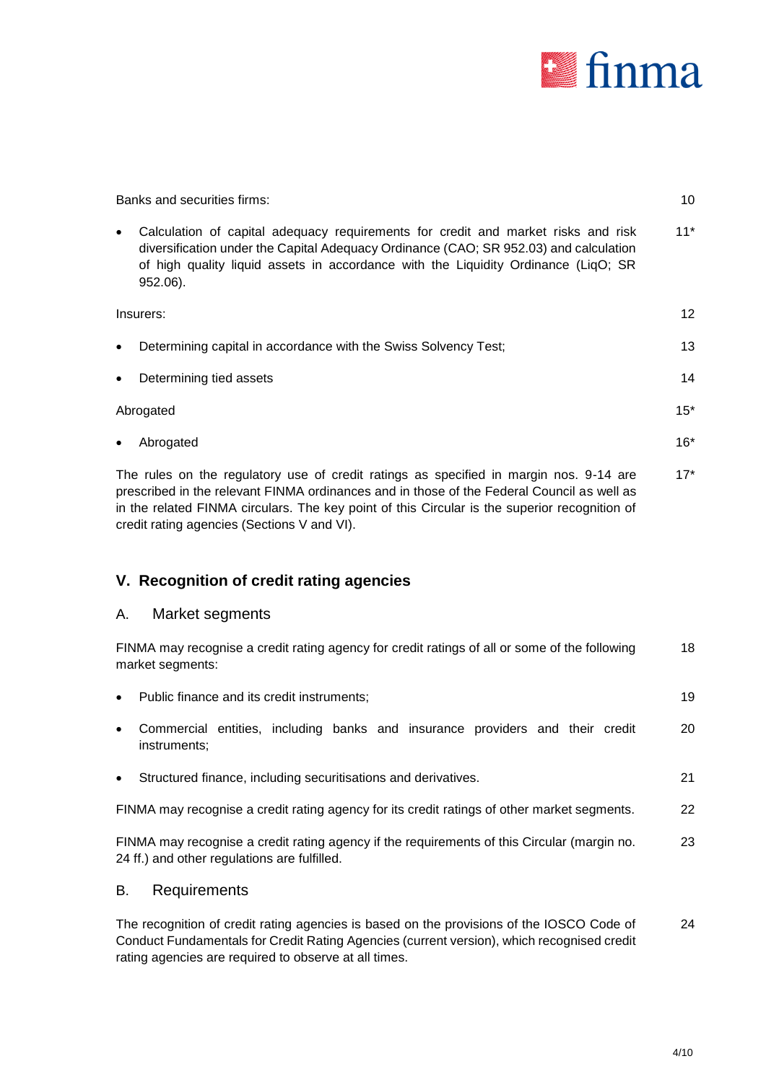

|           | Banks and securities firms:                                                                                                                                                                                                                                                  | 10    |
|-----------|------------------------------------------------------------------------------------------------------------------------------------------------------------------------------------------------------------------------------------------------------------------------------|-------|
| $\bullet$ | Calculation of capital adequacy requirements for credit and market risks and risk<br>diversification under the Capital Adequacy Ordinance (CAO; SR 952.03) and calculation<br>of high quality liquid assets in accordance with the Liquidity Ordinance (LiqO; SR<br>952.06). | $11*$ |
|           | Insurers:                                                                                                                                                                                                                                                                    | 12    |
| $\bullet$ | Determining capital in accordance with the Swiss Solvency Test;                                                                                                                                                                                                              | 13    |
| $\bullet$ | Determining tied assets                                                                                                                                                                                                                                                      | 14    |
|           | Abrogated                                                                                                                                                                                                                                                                    | $15*$ |
| ٠         | Abrogated                                                                                                                                                                                                                                                                    | $16*$ |
|           |                                                                                                                                                                                                                                                                              |       |

The rules on the regulatory use of credit ratings as specified in margin nos. 9-14 are prescribed in the relevant FINMA ordinances and in those of the Federal Council as well as in the related FINMA circulars. The key point of this Circular is the superior recognition of credit rating agencies (Sections V and VI). 17\*

## **V. Recognition of credit rating agencies**

## A. Market segments

| FINMA may recognise a credit rating agency for credit ratings of all or some of the following<br>market segments: |                                                                                                                                             |    |  |
|-------------------------------------------------------------------------------------------------------------------|---------------------------------------------------------------------------------------------------------------------------------------------|----|--|
| $\bullet$                                                                                                         | Public finance and its credit instruments;                                                                                                  | 19 |  |
| $\bullet$                                                                                                         | Commercial entities, including banks and insurance providers and their credit<br>instruments;                                               | 20 |  |
| $\bullet$                                                                                                         | Structured finance, including securitisations and derivatives.                                                                              | 21 |  |
|                                                                                                                   | FINMA may recognise a credit rating agency for its credit ratings of other market segments.                                                 | 22 |  |
|                                                                                                                   | FINMA may recognise a credit rating agency if the requirements of this Circular (margin no.<br>24 ff.) and other regulations are fulfilled. | 23 |  |

## B. Requirements

The recognition of credit rating agencies is based on the provisions of the IOSCO Code of Conduct Fundamentals for Credit Rating Agencies (current version), which recognised credit rating agencies are required to observe at all times. 24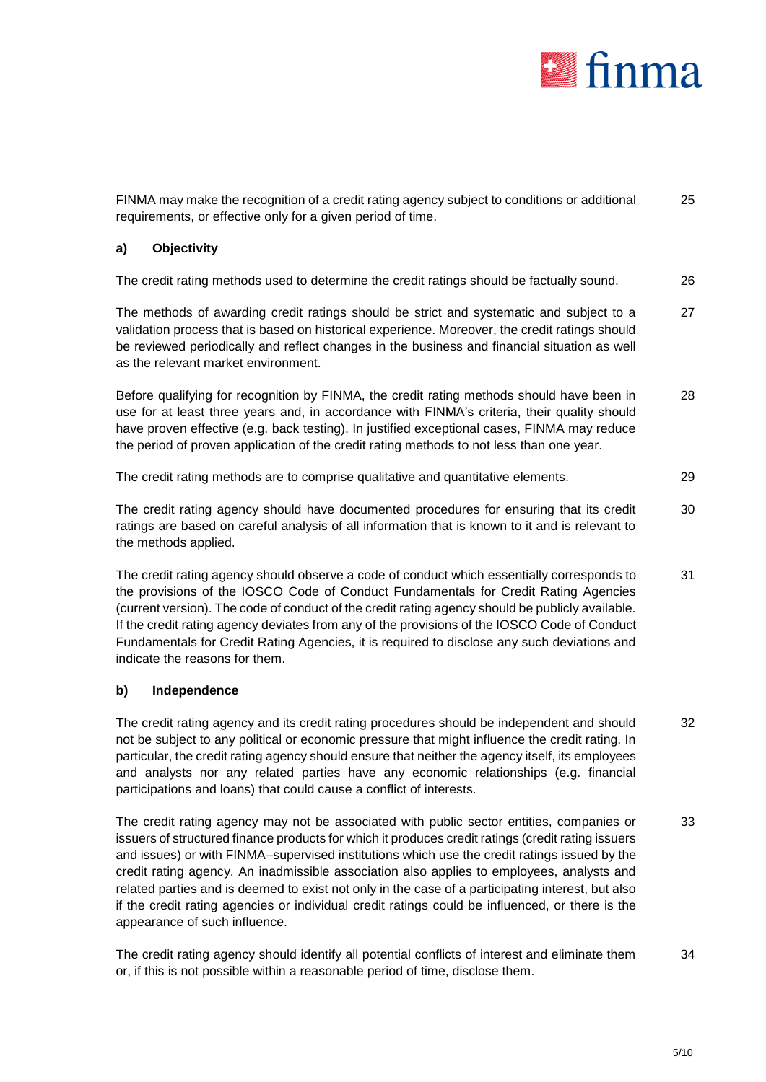

| FINMA may make the recognition of a credit rating agency subject to conditions or additional<br>requirements, or effective only for a given period of time.                                                                                                                                                                                                                                                                                                                                                            | 25 |
|------------------------------------------------------------------------------------------------------------------------------------------------------------------------------------------------------------------------------------------------------------------------------------------------------------------------------------------------------------------------------------------------------------------------------------------------------------------------------------------------------------------------|----|
| a)<br>Objectivity                                                                                                                                                                                                                                                                                                                                                                                                                                                                                                      |    |
| The credit rating methods used to determine the credit ratings should be factually sound.                                                                                                                                                                                                                                                                                                                                                                                                                              | 26 |
| The methods of awarding credit ratings should be strict and systematic and subject to a<br>validation process that is based on historical experience. Moreover, the credit ratings should<br>be reviewed periodically and reflect changes in the business and financial situation as well<br>as the relevant market environment.                                                                                                                                                                                       | 27 |
| Before qualifying for recognition by FINMA, the credit rating methods should have been in<br>use for at least three years and, in accordance with FINMA's criteria, their quality should<br>have proven effective (e.g. back testing). In justified exceptional cases, FINMA may reduce<br>the period of proven application of the credit rating methods to not less than one year.                                                                                                                                    | 28 |
| The credit rating methods are to comprise qualitative and quantitative elements.                                                                                                                                                                                                                                                                                                                                                                                                                                       | 29 |
| The credit rating agency should have documented procedures for ensuring that its credit<br>ratings are based on careful analysis of all information that is known to it and is relevant to<br>the methods applied.                                                                                                                                                                                                                                                                                                     | 30 |
| The credit rating agency should observe a code of conduct which essentially corresponds to<br>the provisions of the IOSCO Code of Conduct Fundamentals for Credit Rating Agencies<br>(current version). The code of conduct of the credit rating agency should be publicly available.<br>If the credit rating agency deviates from any of the provisions of the IOSCO Code of Conduct<br>Fundamentals for Credit Rating Agencies, it is required to disclose any such deviations and<br>indicate the reasons for them. | 31 |
| b)<br>Independence                                                                                                                                                                                                                                                                                                                                                                                                                                                                                                     |    |
| The credit rating agency and its credit rating procedures should be independent and should<br>not be subject to any political or economic pressure that might influence the credit rating. In<br>particular, the credit rating agency should ensure that neither the agency itself, its employees<br>and analysts nor any related parties have any economic relationships (e.g. financial<br>participations and loans) that could cause a conflict of interests.                                                       | 32 |
| The credit rating agency may not be associated with public sector entities, companies or<br>issuers of structured finance products for which it produces credit ratings (credit rating issuers                                                                                                                                                                                                                                                                                                                         | 33 |

and issues) or with FINMA–supervised institutions which use the credit ratings issued by the credit rating agency. An inadmissible association also applies to employees, analysts and related parties and is deemed to exist not only in the case of a participating interest, but also if the credit rating agencies or individual credit ratings could be influenced, or there is the appearance of such influence.

The credit rating agency should identify all potential conflicts of interest and eliminate them or, if this is not possible within a reasonable period of time, disclose them. 34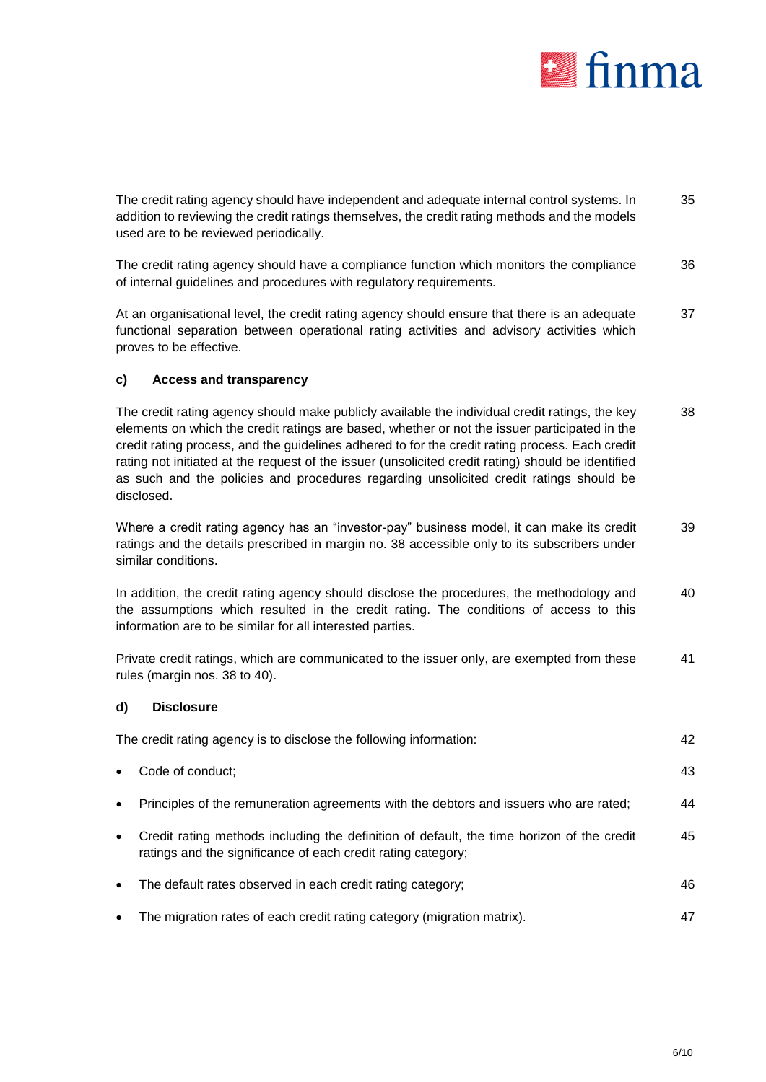

The credit rating agency should have independent and adequate internal control systems. In addition to reviewing the credit ratings themselves, the credit rating methods and the models used are to be reviewed periodically. 35

The credit rating agency should have a compliance function which monitors the compliance of internal guidelines and procedures with regulatory requirements. 36

At an organisational level, the credit rating agency should ensure that there is an adequate functional separation between operational rating activities and advisory activities which proves to be effective. 37

#### **c) Access and transparency**

The credit rating agency should make publicly available the individual credit ratings, the key elements on which the credit ratings are based, whether or not the issuer participated in the credit rating process, and the guidelines adhered to for the credit rating process. Each credit rating not initiated at the request of the issuer (unsolicited credit rating) should be identified as such and the policies and procedures regarding unsolicited credit ratings should be disclosed. 38

Where a credit rating agency has an "investor-pay" business model, it can make its credit ratings and the details prescribed in margin no. 38 accessible only to its subscribers under similar conditions. 39

In addition, the credit rating agency should disclose the procedures, the methodology and the assumptions which resulted in the credit rating. The conditions of access to this information are to be similar for all interested parties. 40

Private credit ratings, which are communicated to the issuer only, are exempted from these rules (margin nos. 38 to 40). 41

#### **d) Disclosure**

|           | The credit rating agency is to disclose the following information:                                                                                        | 42 |
|-----------|-----------------------------------------------------------------------------------------------------------------------------------------------------------|----|
| $\bullet$ | Code of conduct;                                                                                                                                          | 43 |
| $\bullet$ | Principles of the remuneration agreements with the debtors and issuers who are rated;                                                                     | 44 |
| $\bullet$ | Credit rating methods including the definition of default, the time horizon of the credit<br>ratings and the significance of each credit rating category; | 45 |
| $\bullet$ | The default rates observed in each credit rating category;                                                                                                | 46 |
| $\bullet$ | The migration rates of each credit rating category (migration matrix).                                                                                    | 47 |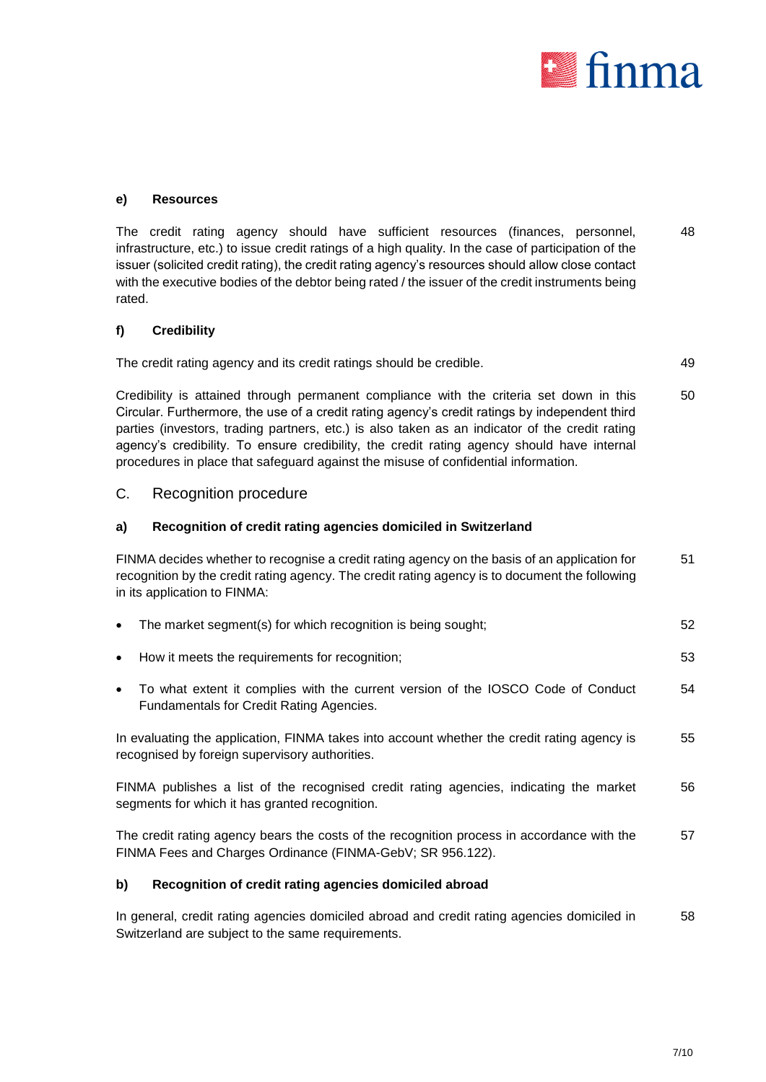

#### **e) Resources**

The credit rating agency should have sufficient resources (finances, personnel, infrastructure, etc.) to issue credit ratings of a high quality. In the case of participation of the issuer (solicited credit rating), the credit rating agency's resources should allow close contact with the executive bodies of the debtor being rated / the issuer of the credit instruments being rated. 48

#### **f) Credibility**

The credit rating agency and its credit ratings should be credible. 49

Credibility is attained through permanent compliance with the criteria set down in this Circular. Furthermore, the use of a credit rating agency's credit ratings by independent third parties (investors, trading partners, etc.) is also taken as an indicator of the credit rating agency's credibility. To ensure credibility, the credit rating agency should have internal procedures in place that safeguard against the misuse of confidential information. 50

#### C. Recognition procedure

#### **a) Recognition of credit rating agencies domiciled in Switzerland**

FINMA decides whether to recognise a credit rating agency on the basis of an application for recognition by the credit rating agency. The credit rating agency is to document the following in its application to FINMA: 51

| The market segment(s) for which recognition is being sought;                                                                 | 52 |
|------------------------------------------------------------------------------------------------------------------------------|----|
| How it meets the requirements for recognition;                                                                               | 53 |
| To what extent it complies with the current version of the IOSCO Code of Conduct<br>Fundamentals for Credit Rating Agencies. | 54 |

In evaluating the application, FINMA takes into account whether the credit rating agency is recognised by foreign supervisory authorities. 55

FINMA publishes a list of the recognised credit rating agencies, indicating the market segments for which it has granted recognition. 56

The credit rating agency bears the costs of the recognition process in accordance with the FINMA Fees and Charges Ordinance (FINMA-GebV; SR 956.122). 57

#### **b) Recognition of credit rating agencies domiciled abroad**

In general, credit rating agencies domiciled abroad and credit rating agencies domiciled in Switzerland are subject to the same requirements. 58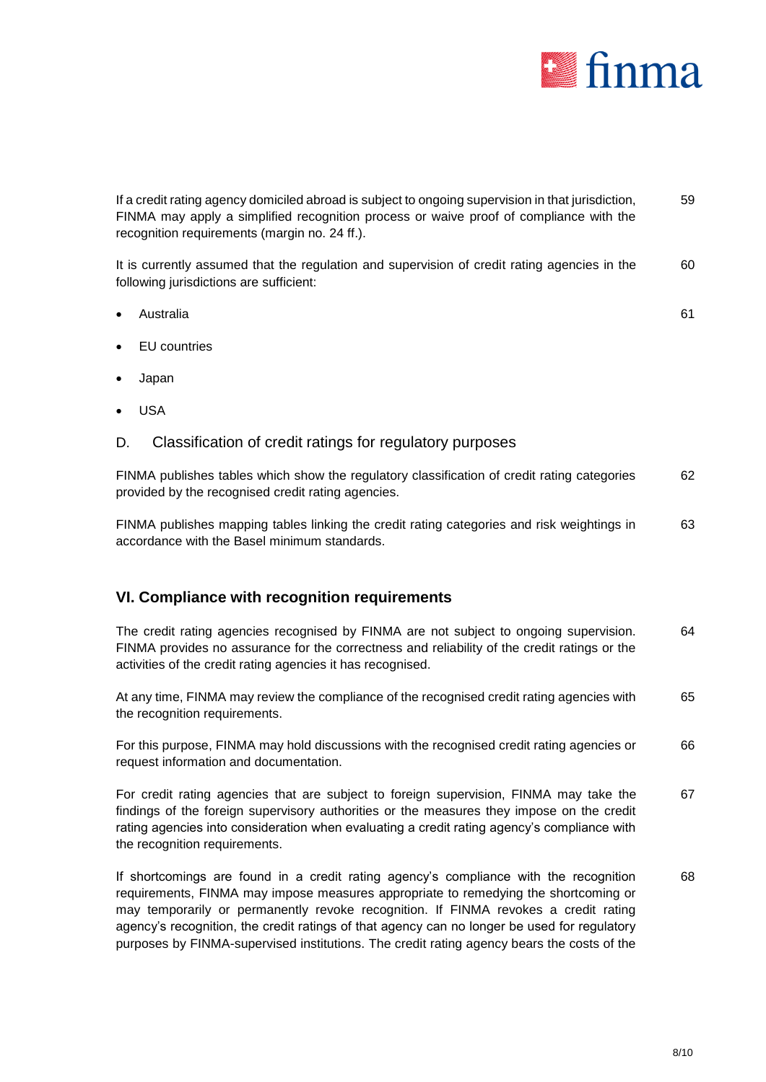

|           | If a credit rating agency domiciled abroad is subject to ongoing supervision in that jurisdiction,<br>FINMA may apply a simplified recognition process or waive proof of compliance with the<br>recognition requirements (margin no. 24 ff.). | 59 |
|-----------|-----------------------------------------------------------------------------------------------------------------------------------------------------------------------------------------------------------------------------------------------|----|
|           | It is currently assumed that the regulation and supervision of credit rating agencies in the<br>following jurisdictions are sufficient:                                                                                                       | 60 |
| $\bullet$ | Australia                                                                                                                                                                                                                                     | 61 |
| $\bullet$ | EU countries                                                                                                                                                                                                                                  |    |
|           | Japan                                                                                                                                                                                                                                         |    |

USA

## D. Classification of credit ratings for regulatory purposes

FINMA publishes tables which show the regulatory classification of credit rating categories provided by the recognised credit rating agencies. 62

FINMA publishes mapping tables linking the credit rating categories and risk weightings in accordance with the Basel minimum standards. 63

## **VI. Compliance with recognition requirements**

The credit rating agencies recognised by FINMA are not subject to ongoing supervision. FINMA provides no assurance for the correctness and reliability of the credit ratings or the activities of the credit rating agencies it has recognised. 64

At any time, FINMA may review the compliance of the recognised credit rating agencies with the recognition requirements. 65

For this purpose, FINMA may hold discussions with the recognised credit rating agencies or request information and documentation. 66

For credit rating agencies that are subject to foreign supervision, FINMA may take the findings of the foreign supervisory authorities or the measures they impose on the credit rating agencies into consideration when evaluating a credit rating agency's compliance with the recognition requirements. 67

If shortcomings are found in a credit rating agency's compliance with the recognition requirements, FINMA may impose measures appropriate to remedying the shortcoming or may temporarily or permanently revoke recognition. If FINMA revokes a credit rating agency's recognition, the credit ratings of that agency can no longer be used for regulatory purposes by FINMA-supervised institutions. The credit rating agency bears the costs of the 68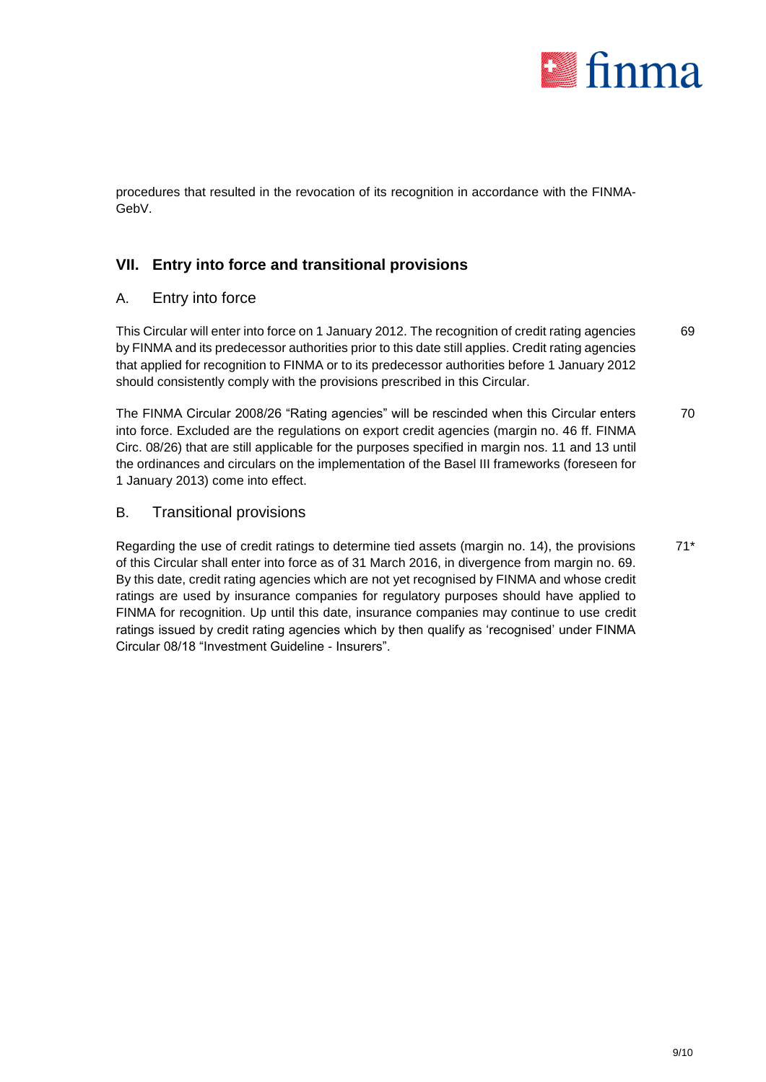

procedures that resulted in the revocation of its recognition in accordance with the FINMA-GebV.

## **VII. Entry into force and transitional provisions**

## A. Entry into force

This Circular will enter into force on 1 January 2012. The recognition of credit rating agencies by FINMA and its predecessor authorities prior to this date still applies. Credit rating agencies that applied for recognition to FINMA or to its predecessor authorities before 1 January 2012 should consistently comply with the provisions prescribed in this Circular. 69

The FINMA Circular 2008/26 "Rating agencies" will be rescinded when this Circular enters into force. Excluded are the regulations on export credit agencies (margin no. 46 ff. FINMA Circ. 08/26) that are still applicable for the purposes specified in margin nos. 11 and 13 until the ordinances and circulars on the implementation of the Basel III frameworks (foreseen for 1 January 2013) come into effect. 70

### B. Transitional provisions

Regarding the use of credit ratings to determine tied assets (margin no. 14), the provisions of this Circular shall enter into force as of 31 March 2016, in divergence from margin no. 69. By this date, credit rating agencies which are not yet recognised by FINMA and whose credit ratings are used by insurance companies for regulatory purposes should have applied to FINMA for recognition. Up until this date, insurance companies may continue to use credit ratings issued by credit rating agencies which by then qualify as 'recognised' under FINMA Circular 08/18 "Investment Guideline - Insurers". 71\*